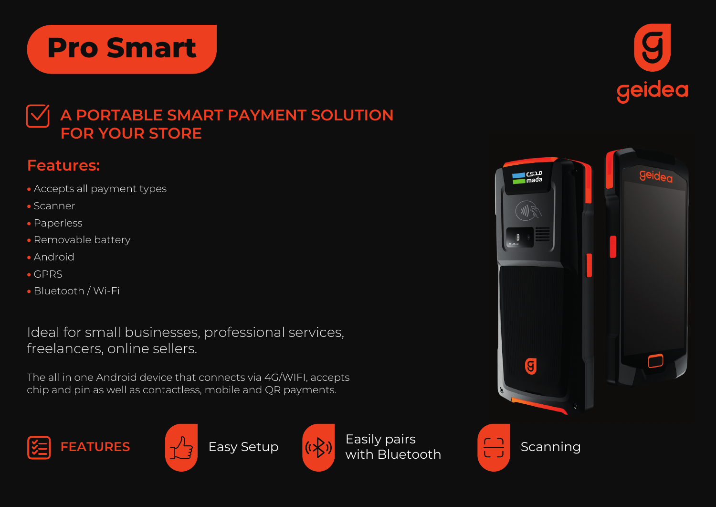

## **Features:**

• Accepts all payment types

**Pro Smart**

- Scanner
- Paperless
- Removable battery
- Android
- GPRS
- Bluetooth / Wi-Fi

Ideal for small businesses, professional services, freelancers, online sellers.

The all in one Android device that connects via 4G/WIFI, accepts chip and pin as well as contactless, mobile and QR payments.







with Bluetooth